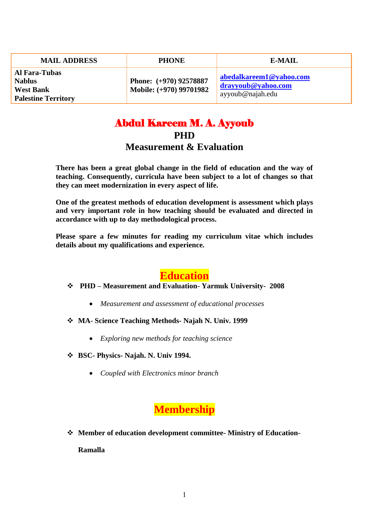| <b>MAIL ADDRESS</b>                                                                     | <b>PHONE</b>                                      | E-MAIL                                                            |
|-----------------------------------------------------------------------------------------|---------------------------------------------------|-------------------------------------------------------------------|
| <b>Al Fara-Tubas</b><br><b>Nablus</b><br><b>West Bank</b><br><b>Palestine Territory</b> | Phone: (+970) 92578887<br>Mobile: (+970) 99701982 | abedalkareem1@yahoo.com<br>drayyoub@yahoo.com<br>ayyoub@najah.edu |

# Abdul Kareem M. A. Ayyoub **PHD**

#### **Measurement & Evaluation**

**There has been a great global change in the field of education and the way of teaching. Consequently, curricula have been subject to a lot of changes so that they can meet modernization in every aspect of life.** 

**One of the greatest methods of education development is assessment which plays and very important role in how teaching should be evaluated and directed in accordance with up to day methodological process.**

**Please spare a few minutes for reading my curriculum vitae which includes details about my qualifications and experience.** 

#### **Education**

#### **PHD – Measurement and Evaluation- Yarmuk University- 2008**

- *Measurement and assessment of educational processes*
- **MA- Science Teaching Methods- Najah N. Univ. 1999**
	- *Exploring new methods for teaching science*
- **BSC- Physics- Najah. N. Univ 1994.**
	- *Coupled with Electronics minor branch*

#### **Membership**

**Member of education development committee- Ministry of Education-**

**Ramalla**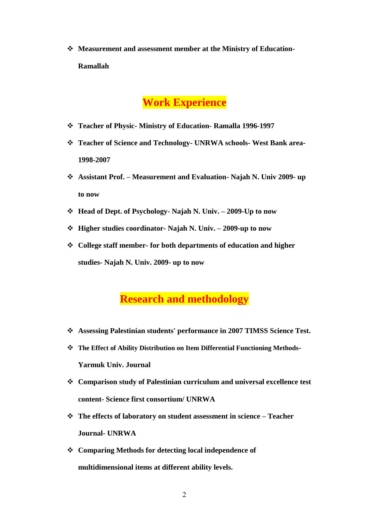**Measurement and assessment member at the Ministry of Education-Ramallah**

#### **Work Experience**

- **Teacher of Physic- Ministry of Education- Ramalla 1996-1997**
- **Teacher of Science and Technology- UNRWA schools- West Bank area-1998-2007**
- **Assistant Prof. – Measurement and Evaluation- Najah N. Univ 2009- up to now**
- **Head of Dept. of Psychology- Najah N. Univ. – 2009-Up to now**
- **Higher studies coordinator- Najah N. Univ. – 2009-up to now**
- **College staff member- for both departments of education and higher studies- Najah N. Univ. 2009- up to now**

## **Research and methodology**

- **Assessing Palestinian students' performance in 2007 TIMSS Science Test.**
- **The Effect of Ability Distribution on Item Differential Functioning Methods-Yarmuk Univ. Journal**
- **Comparison study of Palestinian curriculum and universal excellence test content- Science first consortium/ UNRWA**
- **The effects of laboratory on student assessment in science – Teacher Journal- UNRWA**
- **Comparing Methods for detecting local independence of multidimensional items at different ability levels.**